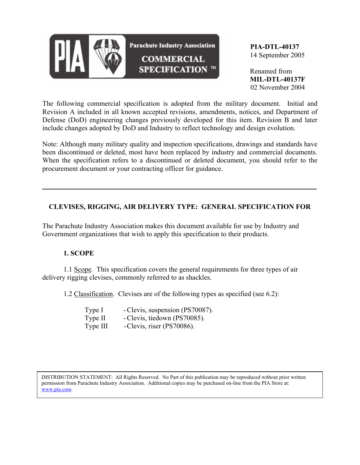

 **PIA-DTL-40137** 14 September 2005

 Renamed from **MIL-DTL-40137F** 02 November 2004

The following commercial specification is adopted from the military document. Initial and Revision A included in all known accepted revisions, amendments, notices, and Department of Defense (DoD) engineering changes previously developed for this item. Revision B and later include changes adopted by DoD and Industry to reflect technology and design evolution.

Note: Although many military quality and inspection specifications, drawings and standards have been discontinued or deleted, most have been replaced by industry and commercial documents. When the specification refers to a discontinued or deleted document, you should refer to the procurement document or your contracting officer for guidance.

# **CLEVISES, RIGGING, AIR DELIVERY TYPE: GENERAL SPECIFICATION FOR**

The Parachute Industry Association makes this document available for use by Industry and Government organizations that wish to apply this specification to their products.

# **1. SCOPE**

 1.1 Scope. This specification covers the general requirements for three types of air delivery rigging clevises, commonly referred to as shackles.

1.2 Classification. Clevises are of the following types as specified (see 6.2):

| Type I   | - Clevis, suspension (PS70087). |
|----------|---------------------------------|
| Type II  | - Clevis, tiedown (PS70085).    |
| Type III | -Clevis, riser (PS70086).       |

DISTRIBUTION STATEMENT: All Rights Reserved. No Part of this publication may be reproduced without prior written permission from Parachute Industry Association. Additional copies may be purchased on-line from the PIA Store at: www.pia.com.